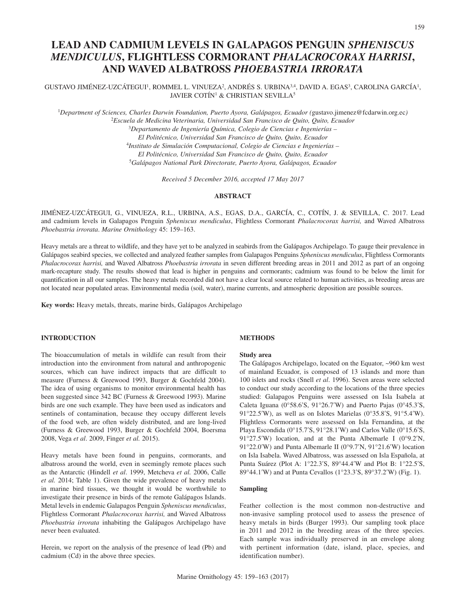# **LEAD AND CADMIUM LEVELS IN GALAPAGOS PENGUIN** *SPHENISCUS MENDICULUS***, FLIGHTLESS CORMORANT** *PHALACROCORAX HARRISI***, AND WAVED ALBATROSS** *PHOEBASTRIA IRRORATA*

# GUSTAVO JIMÉNEZ-UZCÁTEGUI<sup>1</sup>, ROMMEL L. VINUEZA<sup>2</sup>, ANDRÉS S. URBINA<sup>3,4</sup>, DAVID A. EGAS<sup>3</sup>, CAROLINA GARCÍA<sup>1</sup>, JAVIER COTÍN<sup>1</sup> & CHRISTIAN SEVILLA<sup>5</sup>

<sup>1</sup>*Department of Sciences, Charles Darwin Foundation, Puerto Ayora, Galápagos, Ecuador (*[gustavo.jimenez@fcdarwin.org.ec](mailto:gustavo.jimenez@fcdarwin.org.ec)*)* <sup>2</sup>*Escuela de Medicina Veterinaria, Universidad San Francisco de Quito, Quito, Ecuador*

> <sup>3</sup>*Departamento de Ingeniería Química, Colegio de Ciencias e Ingenierías – El Politécnico, Universidad San Francisco de Quito, Quito, Ecuador* <sup>4</sup>*Instituto de Simulación Computacional, Colegio de Ciencias e Ingenierías – El Politécnico, Universidad San Francisco de Quito, Quito, Ecuador* <sup>5</sup>*Galápagos National Park Directorate, Puerto Ayora, Galápagos, Ecuador*

> > *Received 5 December 2016, accepted 17 May 2017*

## **ABSTRACT**

JIMÉNEZ-UZCÁTEGUI, G., VINUEZA, R.L., URBINA, A.S., EGAS, D.A., GARCÍA, C., COTÍN, J. & SEVILLA, C. 2017. Lead and cadmium levels in Galapagos Penguin *Spheniscus mendiculus*, Flightless Cormorant *Phalacrocorax harrisi,* and Waved Albatross *Phoebastria irrorata*. *Marine Ornithology* 45: 159–163.

Heavy metals are a threat to wildlife, and they have yet to be analyzed in seabirds from the Galápagos Archipelago. To gauge their prevalence in Galápagos seabird species, we collected and analyzed feather samples from Galapagos Penguins *Spheniscus mendiculus*, Flightless Cormorants *Phalacrocorax harrisi,* and Waved Albatross *Phoebastria irrorata* in seven different breeding areas in 2011 and 2012 as part of an ongoing mark-recapture study. The results showed that lead is higher in penguins and cormorants; cadmium was found to be below the limit for quantification in all our samples. The heavy metals recorded did not have a clear local source related to human activities, as breeding areas are not located near populated areas. Environmental media (soil, water), marine currents, and atmospheric deposition are possible sources.

**Key words:** Heavy metals, threats, marine birds, Galápagos Archipelago

# **INTRODUCTION**

The bioaccumulation of metals in wildlife can result from their introduction into the environment from natural and anthropogenic sources, which can have indirect impacts that are difficult to measure (Furness & Greewood 1993, Burger & Gochfeld 2004). The idea of using organisms to monitor environmental health has been suggested since 342 BC (Furness & Greewood 1993). Marine birds are one such example. They have been used as indicators and sentinels of contamination, because they occupy different levels of the food web, are often widely distributed, and are long-lived (Furness & Greewood 1993, Burger & Gochfeld 2004, Boersma 2008, Vega *et al*. 2009, Finger *et al.* 2015).

Heavy metals have been found in penguins, cormorants, and albatross around the world, even in seemingly remote places such as the Antarctic (Hindell *et al*. 1999, Metcheva *et al.* 2006, Calle *et al.* 2014; Table 1). Given the wide prevalence of heavy metals in marine bird tissues, we thought it would be worthwhile to investigate their presence in birds of the remote Galápagos Islands. Metal levels in endemic Galapagos Penguin *Spheniscus mendiculus*, Flightless Cormorant *Phalacrocorax harrisi,* and Waved Albatross *Phoebastria irrorata* inhabiting the Galápagos Archipelago have never been evaluated.

Herein, we report on the analysis of the presence of lead (Pb) and cadmium (Cd) in the above three species.

## **METHODS**

#### **Study area**

The Galápagos Archipelago, located on the Equator, ~960 km west of mainland Ecuador, is composed of 13 islands and more than 100 islets and rocks (Snell *et al*. 1996). Seven areas were selected to conduct our study according to the locations of the three species studied: Galapagos Penguins were assessed on Isla Isabela at Caleta Iguana (0°58.6′S, 91°26.7′W) and Puerto Pajas (0°45.3′S, 91°22.5′W), as well as on Islotes Marielas (0°35.8′S, 91°5.4′W). Flightless Cormorants were assessed on Isla Fernandina, at the Playa Escondida (0°15.7′S, 91°28.1′W) and Carlos Valle (0°15.6′S, 91°27.5′W) location, and at the Punta Albemarle I (0°9.2′N, 91°22.0′W) and Punta Albemarle II (0°9.7′N, 91°21.6′W) location on Isla Isabela. Waved Albatross, was assessed on Isla Española, at Punta Suárez (Plot A: 1°22.3′S, 89°44.4′W and Plot B: 1°22.5′S, 89°44.1′W) and at Punta Cevallos (1°23.3′S, 89°37.2′W) (Fig. 1).

# **Sampling**

Feather collection is the most common non-destructive and non-invasive sampling protocol used to assess the presence of heavy metals in birds (Burger 1993). Our sampling took place in 2011 and 2012 in the breeding areas of the three species. Each sample was individually preserved in an envelope along with pertinent information (date, island, place, species, and identification number).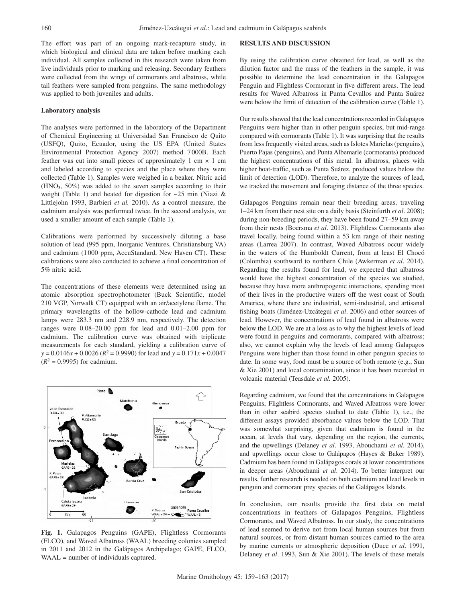The effort was part of an ongoing mark-recapture study, in which biological and clinical data are taken before marking each individual. All samples collected in this research were taken from live individuals prior to marking and releasing. Secondary feathers were collected from the wings of cormorants and albatross, while tail feathers were sampled from penguins. The same methodology was applied to both juveniles and adults.

#### **Laboratory analysis**

The analyses were performed in the laboratory of the Department of Chemical Engineering at Universidad San Francisco de Quito (USFQ), Quito, Ecuador, using the US EPA (United States Environmental Protection Agency 2007) method 7 000B. Each feather was cut into small pieces of approximately 1 cm  $\times$  1 cm and labeled according to species and the place where they were collected (Table 1). Samples were weighed in a beaker. Nitric acid  $(HNO<sub>3</sub>, 50%)$  was added to the seven samples according to their weight (Table 1) and heated for digestion for ~25 min (Niazi & Littlejohn 1993, Barbieri *et al.* 2010). As a control measure, the cadmium analysis was performed twice. In the second analysis, we used a smaller amount of each sample (Table 1).

Calibrations were performed by successively diluting a base solution of lead (995 ppm, Inorganic Ventures, Christiansburg VA) and cadmium (1 000 ppm, AccuStandard, New Haven CT). These calibrations were also conducted to achieve a final concentration of 5% nitric acid.

The concentrations of these elements were determined using an atomic absorption spectrophotometer (Buck Scientific, model 210 VGP, Norwalk CT) equipped with an air/acetylene flame. The primary wavelengths of the hollow-cathode lead and cadmium lamps were 283.3 nm and 228.9 nm, respectively. The detection ranges were 0.08–20.00 ppm for lead and 0.01–2.00 ppm for cadmium. The calibration curve was obtained with triplicate measurements for each standard, yielding a calibration curve of  $y = 0.0146x + 0.0026$  ( $R^2 = 0.9990$ ) for lead and  $y = 0.171x + 0.0047$  $(R^2 = 0.9995)$  for cadmium.



**Fig. 1.** Galapagos Penguins (GAPE), Flightless Cormorants (FLCO), and Waved Albatross (WAAL) breeding colonies sampled in 2011 and 2012 in the Galápagos Archipelago; GAPE, FLCO, WAAL = number of individuals captured.

## **RESULTS AND DISCUSSION**

By using the calibration curve obtained for lead, as well as the dilution factor and the mass of the feathers in the sample, it was possible to determine the lead concentration in the Galapagos Penguin and Flightless Cormorant in five different areas. The lead results for Waved Albatross in Punta Cevallos and Punta Suárez were below the limit of detection of the calibration curve (Table 1).

Our results showed that the lead concentrations recorded in Galapagos Penguins were higher than in other penguin species, but mid-range compared with cormorants (Table 1). It was surprising that the results from less frequently visited areas, such as Islotes Marielas (penguins), Puerto Pajas (penguins), and Punta Albemarle (cormorants) produced the highest concentrations of this metal. In albatross, places with higher boat-traffic, such as Punta Suárez, produced values below the limit of detection (LOD). Therefore, to analyze the sources of lead, we tracked the movement and foraging distance of the three species.

Galapagos Penguins remain near their breeding areas, traveling 1–24 km from their nest site on a daily basis (Steinfurth *et al*. 2008); during non-breeding periods, they have been found 27–59 km away from their nests (Boersma *et al*. 2013). Flightless Cormorants also travel locally, being found within a 53 km range of their nesting areas (Larrea 2007). In contrast, Waved Albatross occur widely in the waters of the Humboldt Current, from at least El Chocó (Colombia) southward to northern Chile (Awkerman *et al*. 2014). Regarding the results found for lead, we expected that albatross would have the highest concentration of the species we studied, because they have more anthropogenic interactions, spending most of their lives in the productive waters off the west coast of South America, where there are industrial, semi-industrial, and artisanal fishing boats (Jiménez-Uzcátegui *et al*. 2006) and other sources of lead. However, the concentrations of lead found in albatross were below the LOD. We are at a loss as to why the highest levels of lead were found in penguins and cormorants, compared with albatross; also, we cannot explain why the levels of lead among Galapagos Penguins were higher than those found in other penguin species to date. In some way, food must be a source of both remote (e.g., Sun & Xie 2001) and local contamination, since it has been recorded in volcanic material (Teasdale *et al.* 2005).

Regarding cadmium, we found that the concentrations in Galapagos Penguins, Flightless Cormorants, and Waved Albatross were lower than in other seabird species studied to date (Table 1), i.e., the different assays provided absorbance values below the LOD. That was somewhat surprising, given that cadmium is found in the ocean, at levels that vary, depending on the region, the currents, and the upwellings (Delaney *et al*. 1993, Abouchami *et al*. 2014), and upwellings occur close to Galápagos (Hayes & Baker 1989). Cadmium has been found in Galápagos corals at lower concentrations in deeper areas (Abouchami *et al*. 2014). To better interpret our results, further research is needed on both cadmium and lead levels in penguin and cormorant prey species of the Galápagos Islands.

In conclusion, our results provide the first data on metal concentrations in feathers of Galapagos Penguins, Flightless Cormorants, and Waved Albatross. In our study, the concentrations of lead seemed to derive not from local human sources but from natural sources, or from distant human sources carried to the area by marine currents or atmospheric deposition (Duce *et al*. 1991, Delaney *et al*. 1993, Sun & Xie 2001). The levels of these metals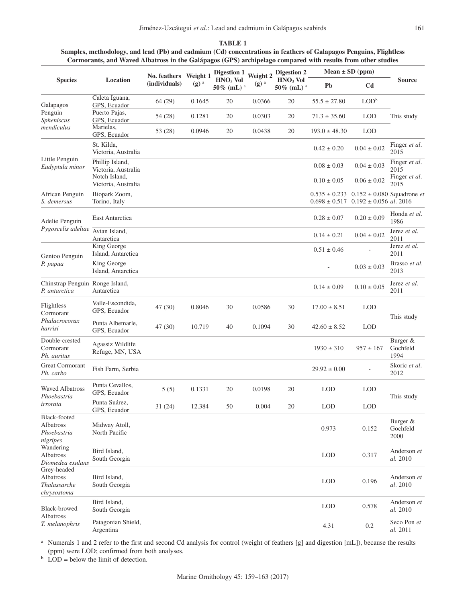| TABLE 1                                                                                                           |
|-------------------------------------------------------------------------------------------------------------------|
| Samples, methodology, and lead (Pb) and cadmium (Cd) concentrations in feathers of Galapagos Penguins, Flightless |
| Cormorants, and Waved Albatross in the Galápagos (GPS) archipelago compared with results from other studies       |

| <b>Species</b>                                                 | Location                               | No. feathers<br>(individuals) | Weight 1<br>$(g)$ <sup>a</sup> | Digestion 1<br>$HNO3$ Vol<br>$50\%$ (mL) <sup>a</sup> | Weight 2<br>$(g)$ <sup>a</sup> | Digestion 2<br>$HNO3$ Vol<br>$50\%$ (mL) <sup>a</sup> | Mean $\pm$ SD (ppm) |                                                                                       |                              |
|----------------------------------------------------------------|----------------------------------------|-------------------------------|--------------------------------|-------------------------------------------------------|--------------------------------|-------------------------------------------------------|---------------------|---------------------------------------------------------------------------------------|------------------------------|
|                                                                |                                        |                               |                                |                                                       |                                |                                                       | Pb                  | C <sub>d</sub>                                                                        | <b>Source</b>                |
| Galapagos<br>Penguin<br>Spheniscus<br>mendiculus               | Caleta Iguana,<br>GPS, Ecuador         | 64 (29)                       | 0.1645                         | 20                                                    | 0.0366                         | 20                                                    | $55.5 \pm 27.80$    | $\text{LOD}^{\text{b}}$                                                               | This study                   |
|                                                                | Puerto Pajas,<br>GPS, Ecuador          | 54 (28)                       | 0.1281                         | 20                                                    | 0.0303                         | 20                                                    | $71.3 \pm 35.60$    | <b>LOD</b>                                                                            |                              |
|                                                                | Marielas,<br>GPS, Ecuador              | 53 (28)                       | 0.0946                         | 20                                                    | 0.0438                         | 20                                                    | $193.0 \pm 48.30$   | <b>LOD</b>                                                                            |                              |
| Little Penguin<br>Eudyptula minor                              | St. Kilda,<br>Victoria, Australia      |                               |                                |                                                       |                                |                                                       | $0.42 \pm 0.20$     | $0.04 \pm 0.02$                                                                       | Finger et al.<br>2015        |
|                                                                | Phillip Island,<br>Victoria, Australia |                               |                                |                                                       |                                |                                                       | $0.08 \pm 0.03$     | $0.04 \pm 0.03$                                                                       | Finger <i>et al.</i><br>2015 |
|                                                                | Notch Island.<br>Victoria, Australia   |                               |                                |                                                       |                                |                                                       | $0.10 \pm 0.05$     | $0.06 \pm 0.02$                                                                       | Finger et al.<br>2015        |
| African Penguin<br>S. demersus                                 | Biopark Zoom,<br>Torino, Italy         |                               |                                |                                                       |                                |                                                       | $0.535 \pm 0.233$   | $0.152 \pm 0.080$ Squadrone <i>et</i><br>$0.698 \pm 0.517$ $0.192 \pm 0.056$ al. 2016 |                              |
| Adelie Penguin<br>Pygoscelis adeliae                           | East Antarctica                        |                               |                                |                                                       |                                |                                                       | $0.28 \pm 0.07$     | $0.20 \pm 0.09$                                                                       | Honda et al.<br>1986         |
|                                                                | Avian Island,<br>Antarctica            |                               |                                |                                                       |                                |                                                       | $0.14 \pm 0.21$     | $0.04 \pm 0.02$                                                                       | Jerez et al.<br>2011         |
| Gentoo Penguin<br>P. papua                                     | King George<br>Island, Antarctica      |                               |                                |                                                       |                                |                                                       | $0.51 \pm 0.46$     |                                                                                       | Jerez et al.<br>2011         |
|                                                                | King George<br>Island, Antarctica      |                               |                                |                                                       |                                |                                                       |                     | $0.03 \pm 0.03$                                                                       | Brasso et al.<br>2013        |
| Chinstrap Penguin Ronge Island,<br>P. antarctica               | Antarctica                             |                               |                                |                                                       |                                |                                                       | $0.14 \pm 0.09$     | $0.10 \pm 0.05$                                                                       | Jerez et al.<br>2011         |
| Flightless<br>Cormorant<br>Phalacrocorax<br>harrisi            | Valle-Escondida,<br>GPS, Ecuador       | 47(30)                        | 0.8046                         | 30                                                    | 0.0586                         | 30                                                    | $17.00 \pm 8.51$    | <b>LOD</b>                                                                            | This study                   |
|                                                                | Punta Albemarle,<br>GPS, Ecuador       | 47 (30)                       | 10.719                         | 40                                                    | 0.1094                         | 30                                                    | $42.60 \pm 8.52$    | <b>LOD</b>                                                                            |                              |
| Double-crested<br>Cormorant<br>Ph. auritus                     | Agassiz Wildlife<br>Refuge, MN, USA    |                               |                                |                                                       |                                |                                                       | $1930 \pm 310$      | $957 \pm 167$                                                                         | Burger &<br>Gochfeld<br>1994 |
| <b>Great Cormorant</b><br>Ph. carbo                            | Fish Farm, Serbia                      |                               |                                |                                                       |                                |                                                       | $29.92 \pm 0.00$    |                                                                                       | Skoric et al.<br>2012        |
| <b>Waved Albatross</b><br>Phoebastria<br>irrorata              | Punta Cevallos.<br>GPS, Ecuador        | 5(5)                          | 0.1331                         | 20                                                    | 0.0198                         | 20                                                    | <b>LOD</b>          | <b>LOD</b>                                                                            | This study                   |
|                                                                | Punta Suárez,<br>GPS, Ecuador          | 31(24)                        | 12.384                         | 50                                                    | 0.004                          | 20                                                    | <b>LOD</b>          | <b>LOD</b>                                                                            |                              |
| Black-footed<br>Albatross<br>Phoebastria<br>nigripes           | Midway Atoll,<br>North Pacific         |                               |                                |                                                       |                                |                                                       | 0.973               | 0.152                                                                                 | Burger &<br>Gochfeld<br>2000 |
| Wandering<br>Albatross<br>Diomedea exulans                     | Bird Island,<br>South Georgia          |                               |                                |                                                       |                                |                                                       | <b>LOD</b>          | 0.317                                                                                 | Anderson et<br>al. 2010      |
| Grey-headed<br><b>Albatross</b><br>Thalassarche<br>chrysostoma | Bird Island,<br>South Georgia          |                               |                                |                                                       |                                |                                                       | <b>LOD</b>          | 0.196                                                                                 | Anderson et<br>al. 2010      |
| Black-browed<br>Albatross<br>T. melanophris                    | Bird Island.<br>South Georgia          |                               |                                |                                                       |                                |                                                       | <b>LOD</b>          | 0.578                                                                                 | Anderson et<br>al. 2010      |
|                                                                | Patagonian Shield,<br>Argentina        |                               |                                |                                                       |                                |                                                       | 4.31                | $0.2\,$                                                                               | Seco Pon et<br>al. 2011      |

<sup>a</sup> Numerals 1 and 2 refer to the first and second Cd analysis for control (weight of feathers [g] and digestion [mL]), because the results (ppm) were LOD; confirmed from both analyses.

 $b$  LOD = below the limit of detection.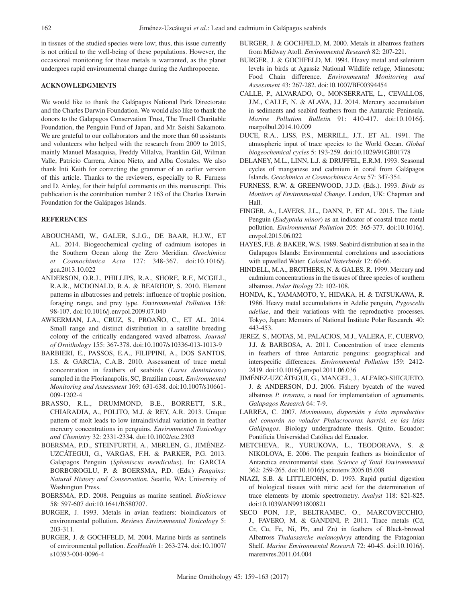in tissues of the studied species were low; thus, this issue currently is not critical to the well-being of these populations. However, the occasional monitoring for these metals is warranted, as the planet undergoes rapid environmental change during the Anthropocene.

# **ACKNOWLEDGMENTS**

We would like to thank the Galápagos National Park Directorate and the Charles Darwin Foundation. We would also like to thank the donors to the Galapagos Conservation Trust, The Truell Charitable Foundation, the Penguin Fund of Japan, and Mr. Seishi Sakamoto. We are grateful to our collaborators and the more than 60 assistants and volunteers who helped with the research from 2009 to 2015, mainly Manuel Masaquisa, Freddy Villalva, Franklin Gil, Wilman Valle, Patricio Carrera, Ainoa Nieto, and Alba Costales. We also thank Inti Keith for correcting the grammar of an earlier version of this article. Thanks to the reviewers, especially to R. Furness and D. Ainley, for their helpful comments on this manuscript. This publication is the contribution number 2 163 of the Charles Darwin Foundation for the Galápagos Islands.

# **REFERENCES**

- ABOUCHAMI, W., GALER, S.J.G., DE BAAR, H.J.W., ET AL. 2014. Biogeochemical cycling of cadmium isotopes in the Southern Ocean along the Zero Meridian. *Geochimica et Cosmochimica Acta* 127: 348-367. doi:10.1016/j. gca.2013.10.022
- ANDERSON, O.R.J., PHILLIPS, R.A., SHORE, R.F., MCGILL, R.A.R., MCDONALD, R.A. & BEARHOP, S. 2010. Element patterns in albatrosses and petrels: influence of trophic position, foraging range, and prey type. *Environmental Pollution* 158: 98-107. [doi:10.1016/j.envpol.2009.07.040](http://dx.doi.org/10.1016/j.envpol.2009.07.040)
- AWKERMAN, J.A., CRUZ, S., PROAÑO, C., ET AL. 2014. Small range and distinct distribution in a satellite breeding colony of the critically endangered waved albatross*. Journal of Ornithology* 155: 367-378. [doi:10.1007/s10336-013-1013-9](http://dx.doi.org/10.1007/s10336-013-1013-9)
- BARBIERI, E., PASSOS, E.A., FILIPPINI, A., DOS SANTOS, I.S. & GARCIA, C.A.B. 2010. Assessment of trace metal concentration in feathers of seabirds (*Larus dominicans*) sampled in the Florianapolis, SC, Brazilian coast. *Environmental Monitoring and Assessment* 169: 631-638. doi:10.1007/s10661- 009-1202-4
- BRASSO, R.L., DRUMMOND, B.E., BORRETT, S.R., CHIARADIA, A., POLITO, M.J. & REY, A.R. 2013. Unique pattern of molt leads to low intraindividual variation in feather mercury concentrations in penguins. *Environmental Toxicology and Chemistry* 32: 2331-2334. doi:10.1002/etc.2303
- BOERSMA, P.D., STEINFURTH, A., MERLEN, G., JIMÉNEZ-UZCÁTEGUI, G., VARGAS, F.H. & PARKER, P.G. 2013. Galapagos Penguin (*Spheniscus mendiculus*). In: GARCIA BORBOROGLU, P. & BOERSMA, P.D. (Eds.) *Penguins: Natural History and Conservation*. Seattle, WA: University of Washington Press.
- BOERSMA, P.D. 2008. Penguins as marine sentinel. *BioScience* 58: 597-607 doi:10.1641/B580707.
- BURGER, J. 1993. Metals in avian feathers: bioindicators of environmental pollution. *Reviews Environmental Toxicology* 5: 203-311.
- BURGER, J. & GOCHFELD, M. 2004. Marine birds as sentinels of environmental pollution. *EcoHealth* 1: 263-274. doi:10.1007/ s10393-004-0096-4
- BURGER, J. & GOCHFELD, M. 2000. Metals in albatross feathers from Midway Atoll. *Environmental Research* 82: 207-221.
- BURGER, J. & GOCHFELD, M. 1994. Heavy metal and selenium levels in birds at Agassiz National Wildlife refuge, Minnesota: Food Chain difference. *Environmental Monitoring and Assessment* 43: 267-282. doi:[10.1007/BF00394454](https://doi.org/10.1007/BF00394454)
- CALLE, P., ALVARADO, O., MONSERRATE, L., CEVALLOS, J.M., CALLE, N. & ALAVA, J.J. 2014. Mercury accumulation in sediments and seabird feathers from the Antarctic Peninsula. *Marine Pollution Bulletin* 91: 410-417. [doi:10.1016/j.](http://dx.doi.org/10.1016/j.marpolbul.2014.10.009) [marpolbul.2014.10.009](http://dx.doi.org/10.1016/j.marpolbul.2014.10.009)
- DUCE, R.A., LISS, P.S., MERRILL, J.T., ET AL. 1991. The atmospheric input of trace species to the World Ocean. *Global biogeochemical cycles* 5: 193-259. [doi:10.1029/91GB01778](http://dx.doi.org/10.1029/91GB01778)
- DELANEY, M.L., LINN, L.J. & DRUFFEL, E.R.M. 1993. Seasonal cycles of manganese and cadmium in coral from Galápagos Islands. *Geochimica et Cosmochimica Acta* 57: 347-354.
- FURNESS, R.W. & GREENWOOD, J.J.D. (Eds.). 1993. *Birds as Monitors of Environmental Change*. London, UK: Chapman and Hall.
- FINGER, A., LAVERS, J.L., DANN, P., ET AL. 2015. The Little Penguin (*Eudyptula minor*) as an indicator of coastal trace metal pollution. *Environmental Pollution* 205: 365-377. [doi:10.1016/j.](http://dx.doi.org/10.1016/j.envpol.2015.06.022) [envpol.2015.06.022](http://dx.doi.org/10.1016/j.envpol.2015.06.022)
- HAYES, F.E. & BAKER, W.S. 1989. Seabird distribution at sea in the Galapagos Islands: Environmental correlations and associations with upwelled Water. *Colonial Waterbirds* 12: 60-66.
- HINDELL, M.A., BROTHERS, N. & GALES, R. 1999. Mercury and cadmium concentrations in the tissues of three species of southern albatross. *Polar Biology* 22: 102-108.
- HONDA, K., YAMAMOTO, Y., HIDAKA, H. & TATSUKAWA, R. 1986. Heavy metal accumulations in Adelie penguin*, Pygoscelis adeliae*, and their variations with the reproductive processes. Tokyo, Japan: Memoirs of National Institute Polar Research*.* 40: 443-453.
- JEREZ, S., MOTAS, M., PALACIOS, M.J., VALERA, F., CUERVO, J.J. & BARBOSA, A. 2011. Concentration of trace elements in feathers of three Antarctic penguins: geographical and interspecific differences. *Environmental Pollution* 159: 2412- 2419. [doi:10.1016/j.envpol.2011.06.036](http://dx.doi.org/10.1016/j.envpol.2011.06.036)
- JIMÉNEZ-UZCÁTEGUI, G., MANGEL, J., ALFARO-SHIGUETO, J. & ANDERSON, D.J. 2006. Fishery bycatch of the waved albatross *P. irrorata*, a need for implementation of agreements. *Galapagos Research* 64: 7-9.
- LARREA, C. 2007. *Movimiento, dispersión y éxito reproductive del comorán no volador Phalacrocorax harrisi, en las islas Galápagos*. Biology undergraduate thesis. Quito, Ecuador: Pontificia Universidad Católica del Ecuador.
- METCHEVA, R., YURUKOVA, L., TEODORAVA, S. & NIKOLOVA, E. 2006. The penguin feathers as bioindicator of Antarctica environmental state. *Science of Total Environmental* 362: 259-265. [doi:10.1016/j.scitotenv.2005.05.008](http://dx.doi.org/10.1016/j.scitotenv.2005.05.008)
- NIAZI, S.B. & LITTLEJOHN, D. 1993. Rapid partial digestion of biological tissues with nitric acid for the determination of trace elements by atomic spectrometry. *Analyst* 118: 821-825. doi:10.1039/AN9931800821
- SECO PON, J.P., BELTRAMEC, O., MARCOVECCHIO, J., FAVERO, M. & GANDINI, P. 2011. Trace metals (Cd, Cr, Cu, Fe, Ni, Pb, and Zn) in feathers of Black-browed Albatross *Thalassarche melanophrys* attending the Patagonian Shelf. *Marine Environmental Research* 72: 40-45. [doi:10.1016/j.](http://dx.doi.org/10.1016/j.marenvres.2011.04.004) [marenvres.2011.04.004](http://dx.doi.org/10.1016/j.marenvres.2011.04.004)